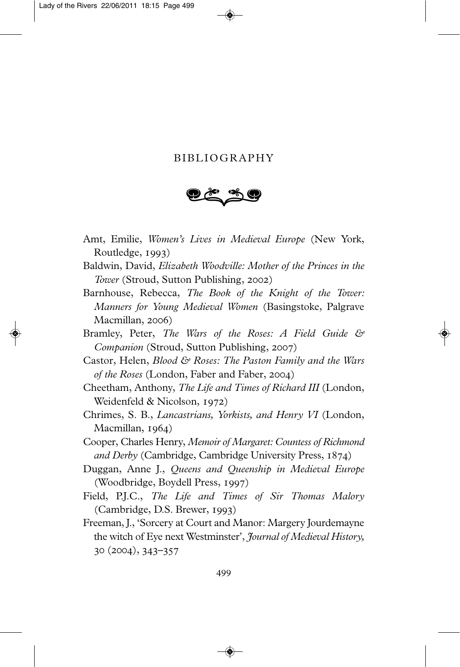## BIBLIOGRAPHY

- Amt, Emilie, *Women's Lives in Medieval Europe* (New York, Routledge,  $1993$
- Baldwin, David, *Elizabeth Woodville: Mother of the Princes in the Tower* (Stroud, Sutton Publishing, 2002)
- Barnhouse, Rebecca, *The Book of the Knight of the Tower: Manners for Young Medieval Women* (Basingstoke, Palgrave Macmillan, 2006)
- Bramley, Peter, *The Wars of the Roses: A Field Guide & Companion* (Stroud, Sutton Publishing, 2007)
- Castor, Helen, *Blood & Roses: The Paston Family and the Wars of the Roses* (London, Faber and Faber, 2004)
- Cheetham, Anthony, *The Life and Times of Richard III* (London, Weidenfeld  $& Nicolson, 1972)$
- Chrimes, S. B., *Lancastrians, Yorkists, and Henry VI* (London, Macmillan, 1964)
- Cooper, Charles Henry, *Memoir of Margaret: Countess of Rich mond and Derby (Cambridge, Cambridge University Press, 1874)*
- Duggan, Anne J., *Queens and Queenship in Medieval Europe* (Woodbridge, Boydell Press, 1997)
- Field, P.J.C., *The Life and Times of Sir Thomas Malory* (Cambridge, D.S. Brewer, 1993)
- Freeman, J., 'Sorcery at Court and Manor: Margery Jourdemayne the witch of Eye next Westminster', *Journal of Medieval History,*  $(2004), 343 - 357$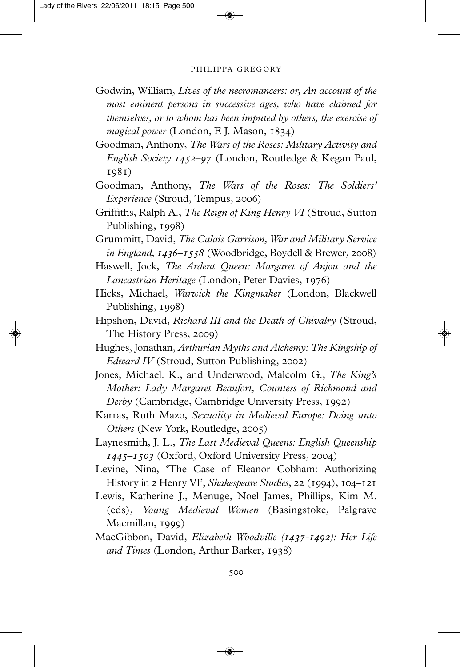## PHILIPPA GREGORY

- Godwin, William, *Lives of the necromancers: or, An account of the most eminent persons in successive ages, who have claimed for themselves, or to whom has been imputed by others, the exercise of magical power* (London, F. J. Mason, 1834)
- Goodman, Anthony, *The Wars of the Roses: Military Activity and English Society 1452-97* (London, Routledge & Kegan Paul, 1981)
- Goodman, Anthony, *The Wars of the Roses: The Soldiers' Experience* (Stroud, Tempus, 2006)
- Griffiths, Ralph A., *The Reign of King Henry VI* (Stroud, Sutton Publishing, 1998)
- Grummitt, David, *The Calais Garrison, War and Military Service in England, 1436-1558* (Woodbridge, Boydell & Brewer, 2008)
- Haswell, Jock, *The Ardent Queen: Margaret of Anjou and the Lancastrian Heritage* (London, Peter Davies, 1976)
- Hicks, Michael, *Warwick the Kingmaker* (London, Blackwell Publishing, 1998)
- Hipshon, David, *Richard III and the Death of Chivalry* (Stroud, The History Press, 2009)
- Hughes, Jonathan, *Arthurian Myths and Alchemy: The Kingship of Edward IV* (Stroud, Sutton Publishing, 2002)
- Jones, Michael. K., and Underwood, Malcolm G., *The King's Mother: Lady Margaret Beaufort, Countess of Richmond and Derby* (Cambridge, Cambridge University Press, 1992)
- Karras, Ruth Mazo, *Sexuality in Medieval Europe: Doing unto Others* (New York, Routledge, 2005)
- Laynesmith, J. L., *The Last Medieval Queens: English Queenship 1445–1503* (Oxford, Oxford University Press, 2004)
- Levine, Nina, 'The Case of Eleanor Cobham: Authorizing History in 2 Henry VI', *Shakespeare Studies*, 22 (1994), 104–121
- Lewis, Katherine J., Menuge, Noel James, Phillips, Kim M. (eds), *Young Medieval Women* (Basingstoke, Palgrave  $Macmillan, 1999)$
- MacGibbon, David, *Elizabeth Woodville (1437-1492): Her Life and Times* (London, Arthur Barker, 1938)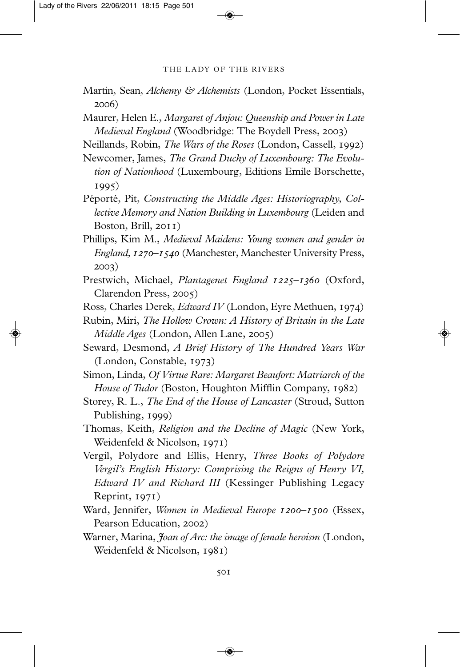## THE LADY OF THE RIVERS

- Martin, Sean, *Alchemy & Alchemists* (London, Pocket Essentials, 2006)
- Maurer, Helen E., *Margaret of Anjou: Queenship and Power in Late Medieval England* (Woodbridge: The Boydell Press, 2003)
- Neillands, Robin, *The Wars of the Roses* (London, Cassell, 1992)
- Newcomer, James, *The Grand Duchy of Luxembourg: The Evolu tion of Nationhood* (Luxembourg, Editions Emile Borschette, 1995)
- Péporté, Pit, *Constructing the Middle Ages: Historiography, Col lective Memory and Nation Building in Luxembourg* (Leiden and Boston, Brill,  $2011$ )
- Phillips, Kim M., *Medieval Maidens: Young women and gender in England, 1270–1540* (Manchester, Manchester University Press, 2003)
- Prestwich, Michael, *Plantagenet England 1225-1360* (Oxford, Clarendon Press, 2005)
- Ross, Charles Derek, *Edward IV* (London, Eyre Methuen, 1974)
- Rubin, Miri, *The Hollow Crown: A History of Britain in the Late Middle Ages* (London, Allen Lane, 2005)
- Seward, Desmond, *A Brief History of The Hundred Years War* (London, Constable, 1973)
- Simon, Linda, *Of Virtue Rare: Margaret Beaufort: Matriarch of the House of Tudor* (Boston, Houghton Mifflin Company, 1982)
- Storey, R. L., *The End of the House of Lancaster* (Stroud, Sutton Publishing, 1999)
- Thomas, Keith, *Religion and the Decline of Magic* (New York, Weidenfeld & Nicolson,  $1971$ )
- Vergil, Polydore and Ellis, Henry, *Three Books of Polydore Vergil's English History: Comprising the Reigns of Henry VI, Edward IV and Richard III* (Kessinger Publishing Legacy Reprint,  $1971$ )
- Ward, Jennifer, *Women in Medieval Europe 1200-1500* (Essex, Pearson Education, 2002)
- Warner, Marina, *Joan of Arc: the image of female heroism* (London, Weidenfeld & Nicolson, 1981)